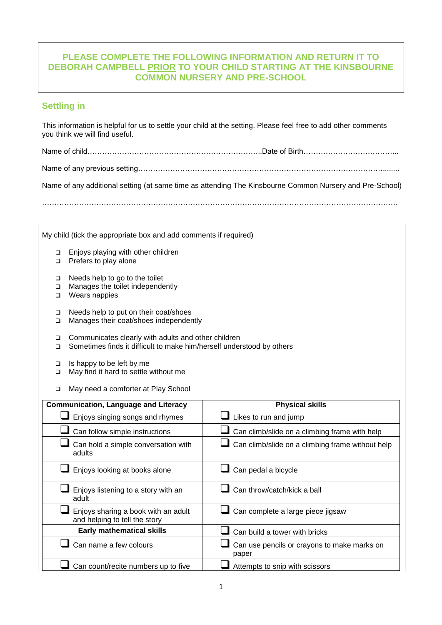# **PLEASE COMPLETE THE FOLLOWING INFORMATION AND RETURN IT TO DEBORAH CAMPBELL PRIOR TO YOUR CHILD STARTING AT THE KINSBOURNE COMMON NURSERY AND PRE-SCHOOL**

# **Settling in**

This information is helpful for us to settle your child at the setting. Please feel free to add other comments you think we will find useful.

Name of child……………………………………………………………..Date of Birth………………………………...

Name of any previous setting………………………………………………………………………………………........

Name of any additional setting (at same time as attending The Kinsbourne Common Nursery and Pre-School)

………………………………………………………………………………………………………………………………

| My child (tick the appropriate box and add comments if required)      |                                                                                                                              |                                                      |  |
|-----------------------------------------------------------------------|------------------------------------------------------------------------------------------------------------------------------|------------------------------------------------------|--|
| $\Box$<br>$\Box$                                                      | Enjoys playing with other children<br>Prefers to play alone                                                                  |                                                      |  |
| □<br>$\Box$<br>$\Box$                                                 | Needs help to go to the toilet<br>Manages the toilet independently<br>Wears nappies                                          |                                                      |  |
| $\Box$<br>$\Box$                                                      | Needs help to put on their coat/shoes<br>Manages their coat/shoes independently                                              |                                                      |  |
| $\Box$<br>$\Box$                                                      | Communicates clearly with adults and other children<br>Sometimes finds it difficult to make him/herself understood by others |                                                      |  |
| □<br>□                                                                | Is happy to be left by me<br>May find it hard to settle without me                                                           |                                                      |  |
| $\Box$                                                                | May need a comforter at Play School                                                                                          |                                                      |  |
| <b>Physical skills</b><br><b>Communication, Language and Literacy</b> |                                                                                                                              |                                                      |  |
|                                                                       | Enjoys singing songs and rhymes                                                                                              | <b>Likes to run and jump</b>                         |  |
|                                                                       | Can follow simple instructions                                                                                               | Can climb/slide on a climbing frame with help        |  |
|                                                                       | Can hold a simple conversation with<br>adults                                                                                | Can climb/slide on a climbing frame without help     |  |
|                                                                       | Enjoys looking at books alone                                                                                                | Can pedal a bicycle                                  |  |
|                                                                       | Enjoys listening to a story with an<br>adult                                                                                 | $\Box$ Can throw/catch/kick a ball                   |  |
|                                                                       | Enjoys sharing a book with an adult<br>and helping to tell the story                                                         | Can complete a large piece jigsaw                    |  |
|                                                                       | <b>Early mathematical skills</b>                                                                                             | Can build a tower with bricks                        |  |
|                                                                       | Can name a few colours                                                                                                       | Can use pencils or crayons to make marks on<br>paper |  |
|                                                                       | Can count/recite numbers up to five                                                                                          | Attempts to snip with scissors                       |  |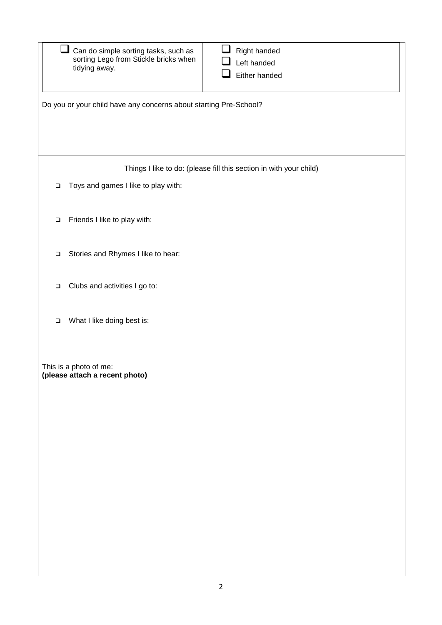|        | Right handed<br>Can do simple sorting tasks, such as<br>sorting Lego from Stickle bricks when<br>Left handed<br>tidying away.<br>Either handed |  |
|--------|------------------------------------------------------------------------------------------------------------------------------------------------|--|
|        | Do you or your child have any concerns about starting Pre-School?                                                                              |  |
|        | Things I like to do: (please fill this section in with your child)                                                                             |  |
| $\Box$ | Toys and games I like to play with:                                                                                                            |  |
| $\Box$ | Friends I like to play with:                                                                                                                   |  |
| $\Box$ | Stories and Rhymes I like to hear:                                                                                                             |  |
| $\Box$ | Clubs and activities I go to:                                                                                                                  |  |
| $\Box$ | What I like doing best is:                                                                                                                     |  |
|        | This is a photo of me:<br>(please attach a recent photo)                                                                                       |  |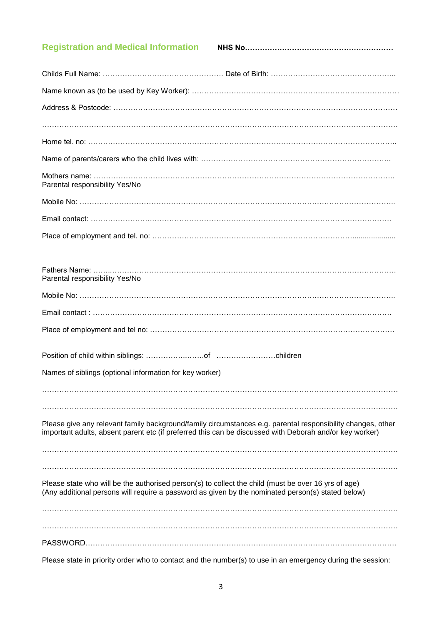# **Registration and Medical Information NHS No……………………………………………………**

| Parental responsibility Yes/No                                                                                                                                                                                         |
|------------------------------------------------------------------------------------------------------------------------------------------------------------------------------------------------------------------------|
|                                                                                                                                                                                                                        |
|                                                                                                                                                                                                                        |
|                                                                                                                                                                                                                        |
|                                                                                                                                                                                                                        |
| Parental responsibility Yes/No                                                                                                                                                                                         |
|                                                                                                                                                                                                                        |
|                                                                                                                                                                                                                        |
|                                                                                                                                                                                                                        |
|                                                                                                                                                                                                                        |
| Names of siblings (optional information for key worker)                                                                                                                                                                |
|                                                                                                                                                                                                                        |
|                                                                                                                                                                                                                        |
| Please give any relevant family background/family circumstances e.g. parental responsibility changes, other<br>important adults, absent parent etc (if preferred this can be discussed with Deborah and/or key worker) |
|                                                                                                                                                                                                                        |
|                                                                                                                                                                                                                        |
| Please state who will be the authorised person(s) to collect the child (must be over 16 yrs of age)<br>(Any additional persons will require a password as given by the nominated person(s) stated below)               |
|                                                                                                                                                                                                                        |
|                                                                                                                                                                                                                        |
|                                                                                                                                                                                                                        |

Please state in priority order who to contact and the number(s) to use in an emergency during the session: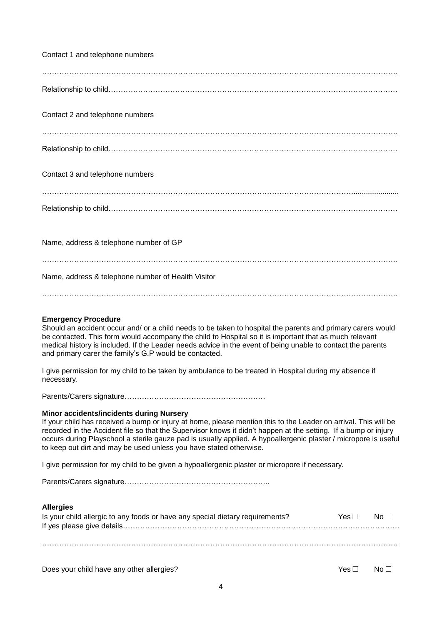| Contact 1 and telephone numbers                                                                                                                                                                                                                                                                                                                                                                                                                                                |
|--------------------------------------------------------------------------------------------------------------------------------------------------------------------------------------------------------------------------------------------------------------------------------------------------------------------------------------------------------------------------------------------------------------------------------------------------------------------------------|
|                                                                                                                                                                                                                                                                                                                                                                                                                                                                                |
| Contact 2 and telephone numbers                                                                                                                                                                                                                                                                                                                                                                                                                                                |
|                                                                                                                                                                                                                                                                                                                                                                                                                                                                                |
| Contact 3 and telephone numbers                                                                                                                                                                                                                                                                                                                                                                                                                                                |
|                                                                                                                                                                                                                                                                                                                                                                                                                                                                                |
| Name, address & telephone number of GP                                                                                                                                                                                                                                                                                                                                                                                                                                         |
| Name, address & telephone number of Health Visitor                                                                                                                                                                                                                                                                                                                                                                                                                             |
| <b>Emergency Procedure</b><br>Should an accident occur and/ or a child needs to be taken to hospital the parents and primary carers would<br>be contacted. This form would accompany the child to Hospital so it is important that as much relevant<br>medical history is included. If the Leader needs advice in the event of being unable to contact the parents<br>and primary carer the family's G.P would be contacted.                                                   |
| I give permission for my child to be taken by ambulance to be treated in Hospital during my absence if<br>necessary.                                                                                                                                                                                                                                                                                                                                                           |
|                                                                                                                                                                                                                                                                                                                                                                                                                                                                                |
| <b>Minor accidents/incidents during Nursery</b><br>If your child has received a bump or injury at home, please mention this to the Leader on arrival. This will be<br>recorded in the Accident file so that the Supervisor knows it didn't happen at the setting. If a bump or injury<br>occurs during Playschool a sterile gauze pad is usually applied. A hypoallergenic plaster / micropore is useful<br>to keep out dirt and may be used unless you have stated otherwise. |
| I give permission for my child to be given a hypoallergenic plaster or micropore if necessary.                                                                                                                                                                                                                                                                                                                                                                                 |
|                                                                                                                                                                                                                                                                                                                                                                                                                                                                                |
| <b>Allergies</b><br>Is your child allergic to any foods or have any special dietary requirements?<br>Yes $\Box$<br>No <sub>1</sub>                                                                                                                                                                                                                                                                                                                                             |
|                                                                                                                                                                                                                                                                                                                                                                                                                                                                                |

Does your child have any other allergies? <br>
Ves □ No □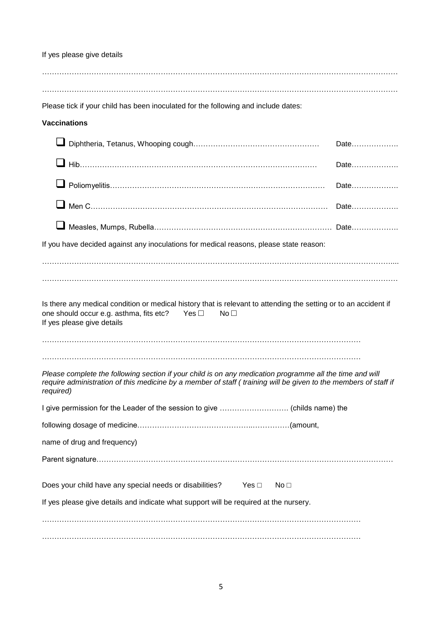If yes please give details Please tick if your child has been inoculated for the following and include dates: **Vaccinations** Diphtheria, Tetanus, Whooping cough…………………………………………… Date………………. Hib…………………………………………………………………………………… Date………………. Poliomyelitis…………………………………………………………………………… Date………………. Men C…………………………………………………………………………………… Date………………. Measles, Mumps, Rubella……………………………………………………………… Date………………. If you have decided against any inoculations for medical reasons, please state reason: ……………………………………………………………………………………………………………………………… Is there any medical condition or medical history that is relevant to attending the setting or to an accident if one should occur e.g. asthma, fits etc? Yes  $\Box$  No  $\Box$ If yes please give details ………………………………………………………………………………………………………………… ………………………………………………………………………………………………………………… *Please complete the following section if your child is on any medication programme all the time and will require administration of this medicine by a member of staff ( training will be given to the members of staff if required)* I give permission for the Leader of the session to give ………………………. (childs name) the following dosage of medicine………………………………………..……………(amount, name of drug and frequency) Parent signature………………………………………………………………………………………………………… Does your child have any special needs or disabilities? Yes □ No □ If yes please give details and indicate what support will be required at the nursery. ………………………………………………………………………………………………………………… …………………………………………………………………………………………………………………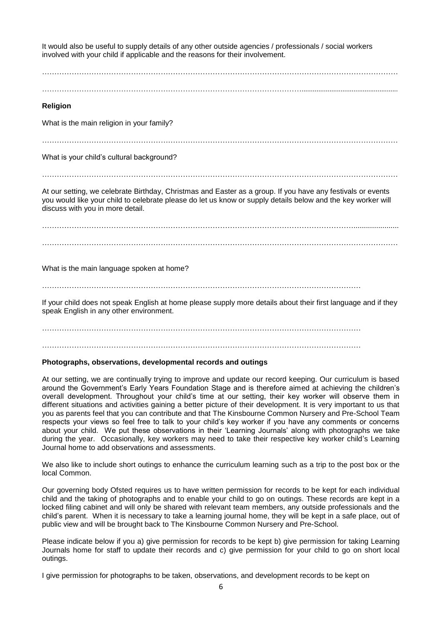It would also be useful to supply details of any other outside agencies / professionals / social workers involved with your child if applicable and the reasons for their involvement. ……………………………………………………………………………………………………………………………… …………………………………………………………………………………………….................................................... **Religion** What is the main religion in your family? ……………………………………………………………………………………………………………………………… What is your child's cultural background? ……………………………………………………………………………………………………………………………… At our setting, we celebrate Birthday, Christmas and Easter as a group. If you have any festivals or events you would like your child to celebrate please do let us know or supply details below and the key worker will discuss with you in more detail. ……………………………………………………………………………………………………………………………… What is the main language spoken at home? ………………………………………………………………………………………………………………… If your child does not speak English at home please supply more details about their first language and if they speak English in any other environment. ………………………………………………………………………………………………………………… …………………………………………………………………………………………………………………

#### **Photographs, observations, developmental records and outings**

At our setting, we are continually trying to improve and update our record keeping. Our curriculum is based around the Government's Early Years Foundation Stage and is therefore aimed at achieving the children's overall development. Throughout your child's time at our setting, their key worker will observe them in different situations and activities gaining a better picture of their development. It is very important to us that you as parents feel that you can contribute and that The Kinsbourne Common Nursery and Pre-School Team respects your views so feel free to talk to your child's key worker if you have any comments or concerns about your child. We put these observations in their 'Learning Journals' along with photographs we take during the year. Occasionally, key workers may need to take their respective key worker child's Learning Journal home to add observations and assessments.

We also like to include short outings to enhance the curriculum learning such as a trip to the post box or the local Common.

Our governing body Ofsted requires us to have written permission for records to be kept for each individual child and the taking of photographs and to enable your child to go on outings. These records are kept in a locked filing cabinet and will only be shared with relevant team members, any outside professionals and the child's parent. When it is necessary to take a learning journal home, they will be kept in a safe place, out of public view and will be brought back to The Kinsbourne Common Nursery and Pre-School.

Please indicate below if you a) give permission for records to be kept b) give permission for taking Learning Journals home for staff to update their records and c) give permission for your child to go on short local outings.

I give permission for photographs to be taken, observations, and development records to be kept on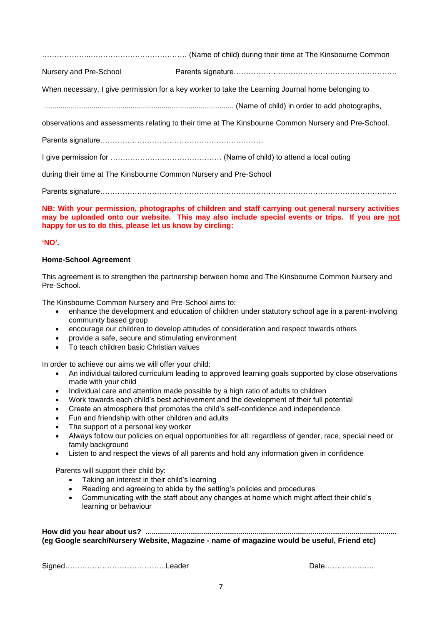………………..………………………………… (Name of child) during their time at The Kinsbourne Common

Nursery and Pre-School Parents signature…………………………………………………………

When necessary, I give permission for a key worker to take the Learning Journal home belonging to

............................................................................................ (Name of child) in order to add photographs,

observations and assessments relating to their time at The Kinsbourne Common Nursery and Pre-School.

Parents signature…………………………………………………………

I give permission for ……………………………………… (Name of child) to attend a local outing

during their time at The Kinsbourne Common Nursery and Pre-School

Parents signature…………………………………………………………………………………………………………

**NB: With your permission, photographs of children and staff carrying out general nursery activities may be uploaded onto our website. This may also include special events or trips. If you are not happy for us to do this, please let us know by circling:**

#### **'NO'.**

#### **Home-School Agreement**

This agreement is to strengthen the partnership between home and The Kinsbourne Common Nursery and Pre-School.

The Kinsbourne Common Nursery and Pre-School aims to:

- enhance the development and education of children under statutory school age in a parent-involving community based group
- encourage our children to develop attitudes of consideration and respect towards others
- provide a safe, secure and stimulating environment
- To teach children basic Christian values

In order to achieve our aims we will offer your child:

- An individual tailored curriculum leading to approved learning goals supported by close observations made with your child
- Individual care and attention made possible by a high ratio of adults to children
- Work towards each child's best achievement and the development of their full potential
- Create an atmosphere that promotes the child's self-confidence and independence
- Fun and friendship with other children and adults
- The support of a personal key worker
- Always follow our policies on equal opportunities for all: regardless of gender, race, special need or family background
- Listen to and respect the views of all parents and hold any information given in confidence

Parents will support their child by:

- Taking an interest in their child's learning
- Reading and agreeing to abide by the setting's policies and procedures
- Communicating with the staff about any changes at home which might affect their child's learning or behaviour

**How did you hear about us? .......................................................................................................................... (eg Google search/Nursery Website, Magazine - name of magazine would be useful, Friend etc)**

Signed…………………………………..Leader Date………………..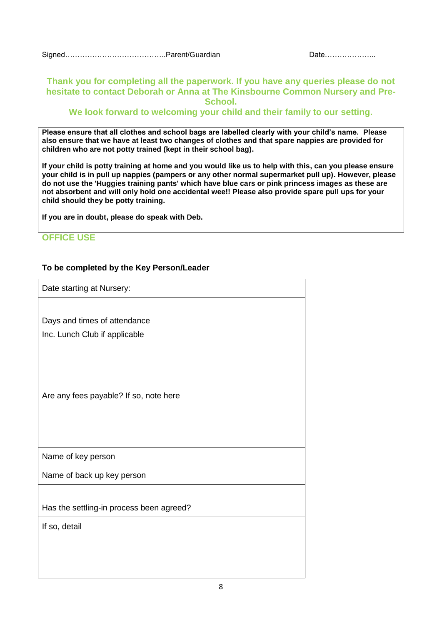#### **Thank you for completing all the paperwork. If you have any queries please do not hesitate to contact Deborah or Anna at The Kinsbourne Common Nursery and Pre-School.**

#### **We look forward to welcoming your child and their family to our setting.**

**Please ensure that all clothes and school bags are labelled clearly with your child's name. Please also ensure that we have at least two changes of clothes and that spare nappies are provided for children who are not potty trained (kept in their school bag).**

**If your child is potty training at home and you would like us to help with this, can you please ensure your child is in pull up nappies (pampers or any other normal supermarket pull up). However, please do not use the 'Huggies training pants' which have blue cars or pink princess images as these are not absorbent and will only hold one accidental wee!! Please also provide spare pull ups for your child should they be potty training.**

**If you are in doubt, please do speak with Deb.**

## **OFFICE USE**

#### **To be completed by the Key Person/Leader**

Date starting at Nursery: Days and times of attendance Inc. Lunch Club if applicable Are any fees payable? If so, note here Name of key person Name of back up key person Has the settling-in process been agreed? If so, detail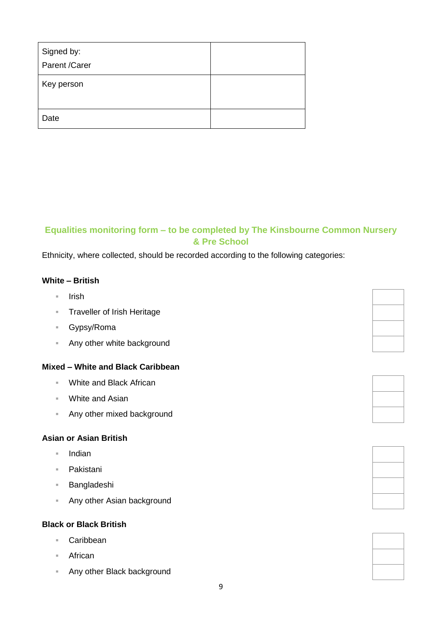| Signed by:<br>Parent /Carer |  |
|-----------------------------|--|
| Key person                  |  |
| Date                        |  |

# **Equalities monitoring form – to be completed by The Kinsbourne Common Nursery & Pre School**

Ethnicity, where collected, should be recorded according to the following categories:

## **White – British**

- $=$  Irish
- **Traveller of Irish Heritage**
- Gypsy/Roma
- **Any other white background**

## **Mixed – White and Black Caribbean**

- White and Black African
- White and Asian
- **Any other mixed background**

# **Asian or Asian British**

- $\blacksquare$  Indian
- Pakistani
- Bangladeshi
- **Any other Asian background**

#### **Black or Black British**

- Caribbean
- African
- **Any other Black background**